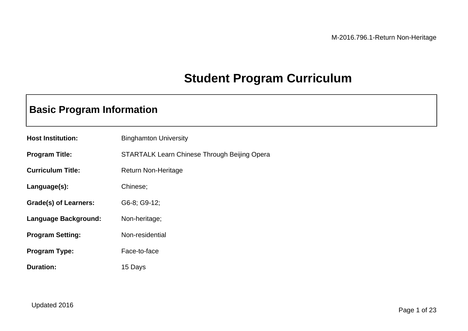## **Student Program Curriculum**

## **Basic Program Information**

| <b>Host Institution:</b>    | <b>Binghamton University</b>                        |
|-----------------------------|-----------------------------------------------------|
| <b>Program Title:</b>       | <b>STARTALK Learn Chinese Through Beijing Opera</b> |
| <b>Curriculum Title:</b>    | <b>Return Non-Heritage</b>                          |
| Language(s):                | Chinese;                                            |
| Grade(s) of Learners:       | G6-8; G9-12;                                        |
| <b>Language Background:</b> | Non-heritage;                                       |
| <b>Program Setting:</b>     | Non-residential                                     |
| <b>Program Type:</b>        | Face-to-face                                        |
| <b>Duration:</b>            | 15 Days                                             |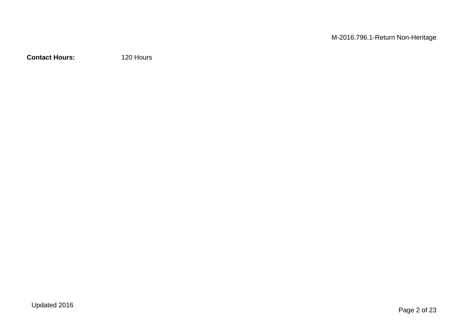**Contact Hours:** 120 Hours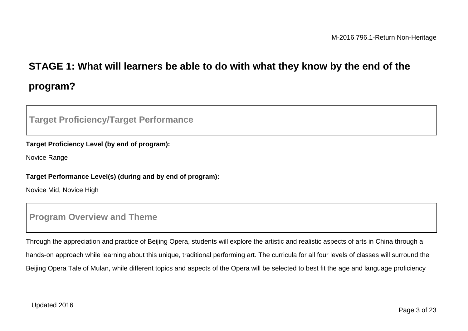# **STAGE 1: What will learners be able to do with what they know by the end of the program?**

### **Target Proficiency/Target Performance**

#### **Target Proficiency Level (by end of program):**

Novice Range

#### **Target Performance Level(s) (during and by end of program):**

Novice Mid, Novice High

### **Program Overview and Theme**

Through the appreciation and practice of Beijing Opera, students will explore the artistic and realistic aspects of arts in China through a hands-on approach while learning about this unique, traditional performing art. The curricula for all four levels of classes will surround the Beijing Opera Tale of Mulan, while different topics and aspects of the Opera will be selected to best fit the age and language proficiency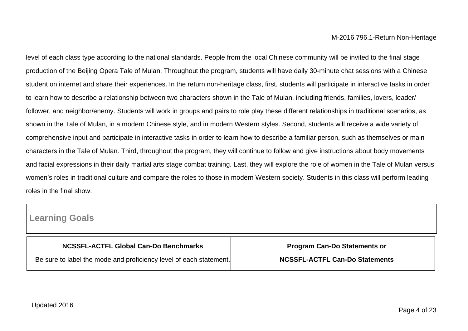level of each class type according to the national standards. People from the local Chinese community will be invited to the final stage production of the Beijing Opera Tale of Mulan. Throughout the program, students will have daily 30-minute chat sessions with a Chinese student on internet and share their experiences. In the return non-heritage class, first, students will participate in interactive tasks in order to learn how to describe a relationship between two characters shown in the Tale of Mulan, including friends, families, lovers, leader/ follower, and neighbor/enemy. Students will work in groups and pairs to role play these different relationships in traditional scenarios, as shown in the Tale of Mulan, in a modern Chinese style, and in modern Western styles. Second, students will receive a wide variety of comprehensive input and participate in interactive tasks in order to learn how to describe a familiar person, such as themselves or main characters in the Tale of Mulan. Third, throughout the program, they will continue to follow and give instructions about body movements and facial expressions in their daily martial arts stage combat training. Last, they will explore the role of women in the Tale of Mulan versus women's roles in traditional culture and compare the roles to those in modern Western society. Students in this class will perform leading roles in the final show.

### **Learning Goals**

| NCSSFL-ACTFL Global Can-Do Benchmarks                              |
|--------------------------------------------------------------------|
| Be sure to label the mode and proficiency level of each statement. |

**Program Can-Do Statements or**

**NCSSFL-ACTFL Can-Do Statements**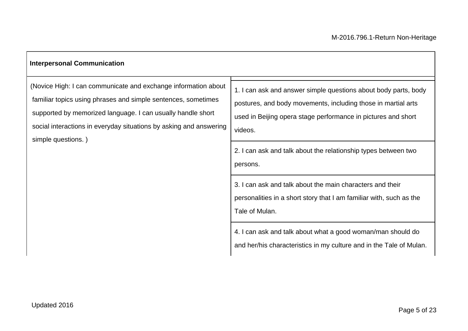| <b>Interpersonal Communication</b>                                                                                                                                                                                                                                                         |                                                                                                                                                                                                                                                                                                                                                                                                                                                                                                                                                                                        |
|--------------------------------------------------------------------------------------------------------------------------------------------------------------------------------------------------------------------------------------------------------------------------------------------|----------------------------------------------------------------------------------------------------------------------------------------------------------------------------------------------------------------------------------------------------------------------------------------------------------------------------------------------------------------------------------------------------------------------------------------------------------------------------------------------------------------------------------------------------------------------------------------|
| (Novice High: I can communicate and exchange information about<br>familiar topics using phrases and simple sentences, sometimes<br>supported by memorized language. I can usually handle short<br>social interactions in everyday situations by asking and answering<br>simple questions.) | 1. I can ask and answer simple questions about body parts, body<br>postures, and body movements, including those in martial arts<br>used in Beijing opera stage performance in pictures and short<br>videos.<br>2. I can ask and talk about the relationship types between two<br>persons.<br>3. I can ask and talk about the main characters and their<br>personalities in a short story that I am familiar with, such as the<br>Tale of Mulan.<br>4. I can ask and talk about what a good woman/man should do<br>and her/his characteristics in my culture and in the Tale of Mulan. |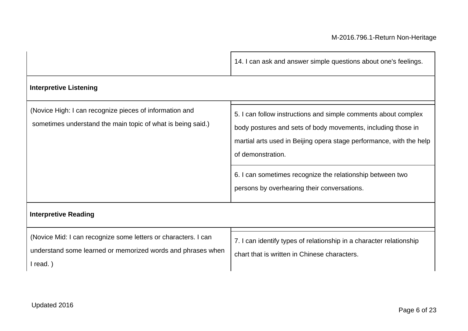|                                                                                                                                           | 14. I can ask and answer simple questions about one's feelings.                                                                                                                                                                                                                                                                        |  |  |  |
|-------------------------------------------------------------------------------------------------------------------------------------------|----------------------------------------------------------------------------------------------------------------------------------------------------------------------------------------------------------------------------------------------------------------------------------------------------------------------------------------|--|--|--|
| <b>Interpretive Listening</b>                                                                                                             |                                                                                                                                                                                                                                                                                                                                        |  |  |  |
| (Novice High: I can recognize pieces of information and<br>sometimes understand the main topic of what is being said.)                    | 5. I can follow instructions and simple comments about complex<br>body postures and sets of body movements, including those in<br>martial arts used in Beijing opera stage performance, with the help<br>of demonstration.<br>6. I can sometimes recognize the relationship between two<br>persons by overhearing their conversations. |  |  |  |
| <b>Interpretive Reading</b>                                                                                                               |                                                                                                                                                                                                                                                                                                                                        |  |  |  |
| (Novice Mid: I can recognize some letters or characters. I can<br>understand some learned or memorized words and phrases when<br>I read.) | 7. I can identify types of relationship in a character relationship<br>chart that is written in Chinese characters.                                                                                                                                                                                                                    |  |  |  |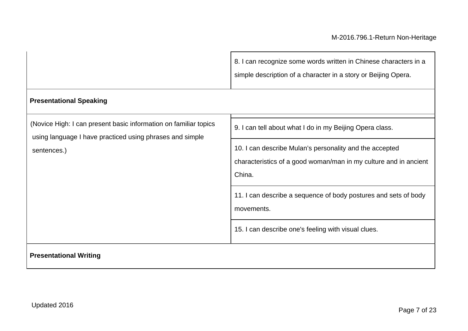|                                                                                                                                             | 8. I can recognize some words written in Chinese characters in a<br>simple description of a character in a story or Beijing Opera.    |
|---------------------------------------------------------------------------------------------------------------------------------------------|---------------------------------------------------------------------------------------------------------------------------------------|
| <b>Presentational Speaking</b>                                                                                                              |                                                                                                                                       |
| (Novice High: I can present basic information on familiar topics<br>using language I have practiced using phrases and simple<br>sentences.) | 9. I can tell about what I do in my Beijing Opera class.                                                                              |
|                                                                                                                                             | 10. I can describe Mulan's personality and the accepted<br>characteristics of a good woman/man in my culture and in ancient<br>China. |
|                                                                                                                                             | 11. I can describe a sequence of body postures and sets of body<br>movements.                                                         |
|                                                                                                                                             | 15. I can describe one's feeling with visual clues.                                                                                   |
| <b>Presentational Writing</b>                                                                                                               |                                                                                                                                       |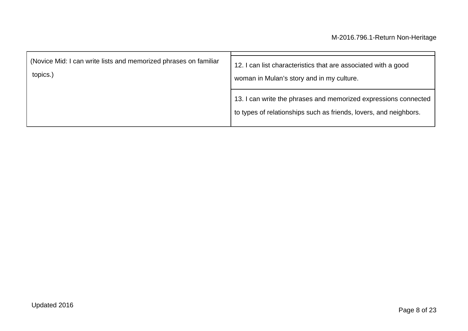| (Novice Mid: I can write lists and memorized phrases on familiar | 12. I can list characteristics that are associated with a good                                                                       |
|------------------------------------------------------------------|--------------------------------------------------------------------------------------------------------------------------------------|
| topics.)                                                         | woman in Mulan's story and in my culture.                                                                                            |
|                                                                  | 13. I can write the phrases and memorized expressions connected<br>to types of relationships such as friends, lovers, and neighbors. |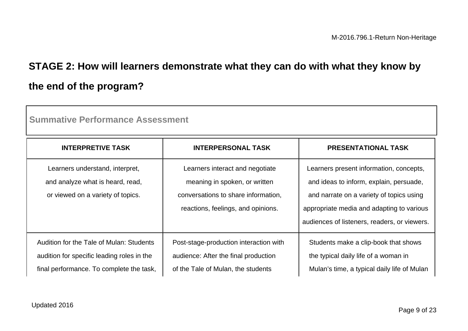# **STAGE 2: How will learners demonstrate what they can do with what they know by the end of the program?**

| <b>INTERPRETIVE TASK</b>                                                                                                           | <b>INTERPERSONAL TASK</b>                                                                                                                     | <b>PRESENTATIONAL TASK</b>                                                                                                                                                                                                  |
|------------------------------------------------------------------------------------------------------------------------------------|-----------------------------------------------------------------------------------------------------------------------------------------------|-----------------------------------------------------------------------------------------------------------------------------------------------------------------------------------------------------------------------------|
| Learners understand, interpret,<br>and analyze what is heard, read,<br>or viewed on a variety of topics.                           | Learners interact and negotiate<br>meaning in spoken, or written<br>conversations to share information.<br>reactions, feelings, and opinions. | Learners present information, concepts,<br>and ideas to inform, explain, persuade,<br>and narrate on a variety of topics using<br>appropriate media and adapting to various<br>audiences of listeners, readers, or viewers. |
| Audition for the Tale of Mulan: Students<br>audition for specific leading roles in the<br>final performance. To complete the task, | Post-stage-production interaction with<br>audience: After the final production<br>of the Tale of Mulan, the students                          | Students make a clip-book that shows<br>the typical daily life of a woman in<br>Mulan's time, a typical daily life of Mulan                                                                                                 |

**Summative Performance Assessment**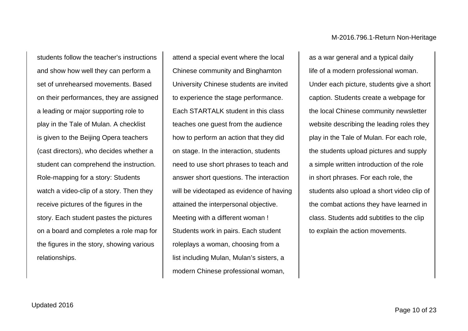students follow the teacher's instructions and show how well they can perform a set of unrehearsed movements. Based on their performances, they are assigned a leading or major supporting role to play in the Tale of Mulan. A checklist is given to the Beijing Opera teachers (cast directors), who decides whether a student can comprehend the instruction. Role-mapping for a story: Students watch a video-clip of a story. Then they receive pictures of the figures in the story. Each student pastes the pictures on a board and completes a role map for the figures in the story, showing various relationships.

attend a special event where the local Chinese community and Binghamton University Chinese students are invited to experience the stage performance. Each STARTALK student in this class teaches one guest from the audience how to perform an action that they did on stage. In the interaction, students need to use short phrases to teach and answer short questions. The interaction will be videotaped as evidence of having attained the interpersonal objective. Meeting with a different woman ! Students work in pairs. Each student roleplays a woman, choosing from a list including Mulan, Mulan's sisters, a modern Chinese professional woman,

as a war general and a typical daily life of a modern professional woman. Under each picture, students give a short caption. Students create a webpage for the local Chinese community newsletter website describing the leading roles they play in the Tale of Mulan. For each role, the students upload pictures and supply a simple written introduction of the role in short phrases. For each role, the students also upload a short video clip of the combat actions they have learned in class. Students add subtitles to the clip to explain the action movements.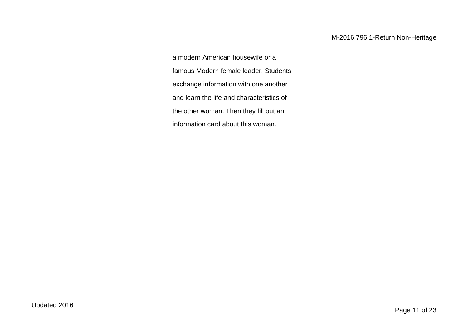a modern American housewife or a famous Modern female leader. Students exchange information with one another and learn the life and characteristics of the other woman. Then they fill out an information card about this woman.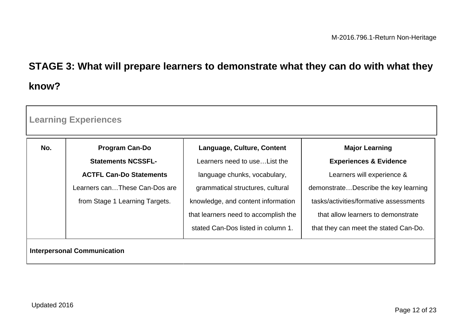# **STAGE 3: What will prepare learners to demonstrate what they can do with what they know?**

| No. | <b>Program Can-Do</b>          | Language, Culture, Content           | <b>Major Learning</b>                  |
|-----|--------------------------------|--------------------------------------|----------------------------------------|
|     | <b>Statements NCSSFL-</b>      | Learners need to use List the        | <b>Experiences &amp; Evidence</b>      |
|     | <b>ACTFL Can-Do Statements</b> | language chunks, vocabulary,         | Learners will experience &             |
|     | Learners canThese Can-Dos are  | grammatical structures, cultural     | demonstrateDescribe the key learning   |
|     | from Stage 1 Learning Targets. | knowledge, and content information   | tasks/activities/formative assessments |
|     |                                | that learners need to accomplish the | that allow learners to demonstrate     |
|     |                                | stated Can-Dos listed in column 1.   | that they can meet the stated Can-Do.  |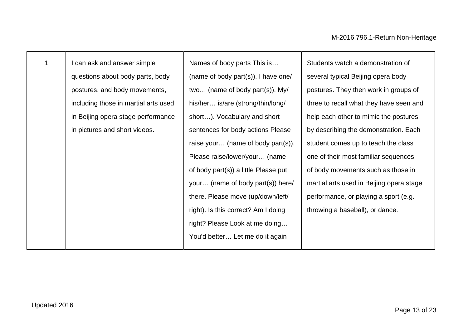| $\mathbf 1$ | I can ask and answer simple          | Names of body parts This is          | Students watch a demonstration of        |
|-------------|--------------------------------------|--------------------------------------|------------------------------------------|
|             | questions about body parts, body     | (name of body part(s)). I have one/  | several typical Beijing opera body       |
|             | postures, and body movements,        | two (name of body part(s)). My/      | postures. They then work in groups of    |
|             | including those in martial arts used | his/her is/are (strong/thin/long/    | three to recall what they have seen and  |
|             | in Beijing opera stage performance   | short). Vocabulary and short         | help each other to mimic the postures    |
|             | in pictures and short videos.        | sentences for body actions Please    | by describing the demonstration. Each    |
|             |                                      | raise your (name of body part(s)).   | student comes up to teach the class      |
|             |                                      | Please raise/lower/your (name        | one of their most familiar sequences     |
|             |                                      | of body part(s)) a little Please put | of body movements such as those in       |
|             |                                      | your (name of body part(s)) here/    | martial arts used in Beijing opera stage |
|             |                                      | there. Please move (up/down/left/    | performance, or playing a sport (e.g.    |
|             |                                      | right). Is this correct? Am I doing  | throwing a baseball), or dance.          |
|             |                                      | right? Please Look at me doing       |                                          |
|             |                                      | You'd better Let me do it again      |                                          |
|             |                                      |                                      |                                          |

г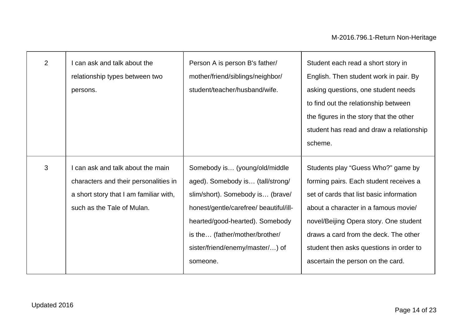| $\overline{2}$ | can ask and talk about the<br>relationship types between two<br>persons.                                                                         | Person A is person B's father/<br>mother/friend/siblings/neighbor/<br>student/teacher/husband/wife.                                                                                                                                                                 | Student each read a short story in<br>English. Then student work in pair. By<br>asking questions, one student needs<br>to find out the relationship between<br>the figures in the story that the other<br>student has read and draw a relationship<br>scheme.                                                                       |
|----------------|--------------------------------------------------------------------------------------------------------------------------------------------------|---------------------------------------------------------------------------------------------------------------------------------------------------------------------------------------------------------------------------------------------------------------------|-------------------------------------------------------------------------------------------------------------------------------------------------------------------------------------------------------------------------------------------------------------------------------------------------------------------------------------|
| 3              | can ask and talk about the main<br>characters and their personalities in<br>a short story that I am familiar with,<br>such as the Tale of Mulan. | Somebody is (young/old/middle<br>aged). Somebody is (tall/strong/<br>slim/short). Somebody is (brave/<br>honest/gentle/carefree/ beautiful/ill-<br>hearted/good-hearted). Somebody<br>is the (father/mother/brother/<br>sister/friend/enemy/master/) of<br>someone. | Students play "Guess Who?" game by<br>forming pairs. Each student receives a<br>set of cards that list basic information<br>about a character in a famous movie/<br>novel/Beijing Opera story. One student<br>draws a card from the deck. The other<br>student then asks questions in order to<br>ascertain the person on the card. |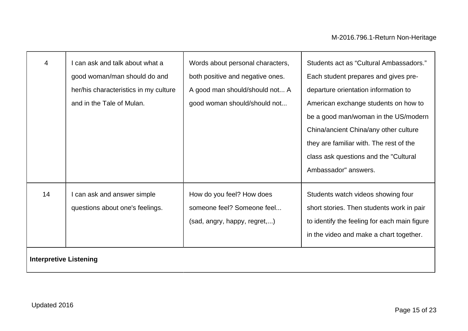| 4                             | I can ask and talk about what a<br>good woman/man should do and<br>her/his characteristics in my culture<br>and in the Tale of Mulan. | Words about personal characters,<br>both positive and negative ones.<br>A good man should/should not A<br>good woman should/should not | Students act as "Cultural Ambassadors."<br>Each student prepares and gives pre-<br>departure orientation information to<br>American exchange students on how to<br>be a good man/woman in the US/modern<br>China/ancient China/any other culture<br>they are familiar with. The rest of the<br>class ask questions and the "Cultural |
|-------------------------------|---------------------------------------------------------------------------------------------------------------------------------------|----------------------------------------------------------------------------------------------------------------------------------------|--------------------------------------------------------------------------------------------------------------------------------------------------------------------------------------------------------------------------------------------------------------------------------------------------------------------------------------|
|                               |                                                                                                                                       |                                                                                                                                        | Ambassador" answers.                                                                                                                                                                                                                                                                                                                 |
| 14                            | I can ask and answer simple<br>questions about one's feelings.                                                                        | How do you feel? How does<br>someone feel? Someone feel<br>(sad, angry, happy, regret,)                                                | Students watch videos showing four<br>short stories. Then students work in pair<br>to identify the feeling for each main figure<br>in the video and make a chart together.                                                                                                                                                           |
| <b>Interpretive Listening</b> |                                                                                                                                       |                                                                                                                                        |                                                                                                                                                                                                                                                                                                                                      |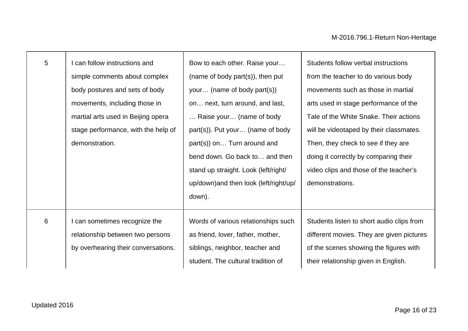| 5 | can follow instructions and         | Bow to each other. Raise your          | Students follow verbal instructions       |
|---|-------------------------------------|----------------------------------------|-------------------------------------------|
|   | simple comments about complex       | (name of body part(s)), then put       | from the teacher to do various body       |
|   | body postures and sets of body      | your (name of body part(s))            | movements such as those in martial        |
|   | movements, including those in       | on next, turn around, and last,        | arts used in stage performance of the     |
|   | martial arts used in Beijing opera  | Raise your (name of body               | Tale of the White Snake. Their actions    |
|   | stage performance, with the help of | part(s)). Put your (name of body       | will be videotaped by their classmates.   |
|   | demonstration.                      | part(s)) on Turn around and            | Then, they check to see if they are       |
|   |                                     | bend down. Go back to and then         | doing it correctly by comparing their     |
|   |                                     | stand up straight. Look (left/right/   | video clips and those of the teacher's    |
|   |                                     | up/down) and then look (left/right/up/ | demonstrations.                           |
|   |                                     | down).                                 |                                           |
|   |                                     |                                        |                                           |
| 6 | I can sometimes recognize the       | Words of various relationships such    | Students listen to short audio clips from |
|   | relationship between two persons    | as friend, lover, father, mother,      | different movies. They are given pictures |
|   | by overhearing their conversations. | siblings, neighbor, teacher and        | of the scenes showing the figures with    |
|   |                                     | student. The cultural tradition of     | their relationship given in English.      |
|   |                                     |                                        |                                           |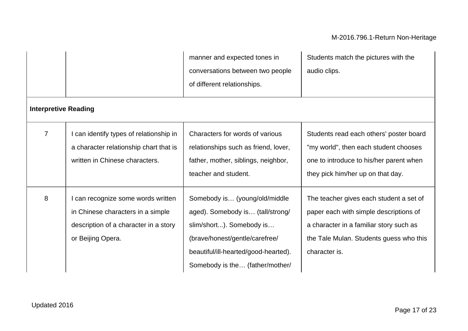| <b>Interpretive Reading</b> |                                                                                                                                     | manner and expected tones in<br>conversations between two people<br>of different relationships.                                                                                                            | Students match the pictures with the<br>audio clips.                                                                                                                                     |
|-----------------------------|-------------------------------------------------------------------------------------------------------------------------------------|------------------------------------------------------------------------------------------------------------------------------------------------------------------------------------------------------------|------------------------------------------------------------------------------------------------------------------------------------------------------------------------------------------|
|                             |                                                                                                                                     |                                                                                                                                                                                                            |                                                                                                                                                                                          |
| $\overline{7}$              | can identify types of relationship in<br>a character relationship chart that is<br>written in Chinese characters.                   | Characters for words of various<br>relationships such as friend, lover,<br>father, mother, siblings, neighbor,<br>teacher and student.                                                                     | Students read each others' poster board<br>"my world", then each student chooses<br>one to introduce to his/her parent when<br>they pick him/her up on that day.                         |
| 8                           | can recognize some words written<br>in Chinese characters in a simple<br>description of a character in a story<br>or Beijing Opera. | Somebody is (young/old/middle<br>aged). Somebody is (tall/strong/<br>slim/short). Somebody is<br>(brave/honest/gentle/carefree/<br>beautiful/ill-hearted/good-hearted).<br>Somebody is the (father/mother/ | The teacher gives each student a set of<br>paper each with simple descriptions of<br>a character in a familiar story such as<br>the Tale Mulan. Students guess who this<br>character is. |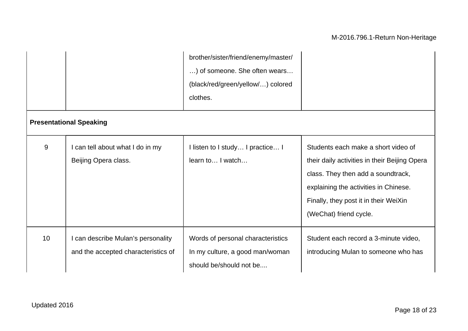|                 |                                                                           | brother/sister/friend/enemy/master/<br>) of someone. She often wears<br>(black/red/green/yellow/) colored<br>clothes. |                                                                                                                                                                                                                                        |
|-----------------|---------------------------------------------------------------------------|-----------------------------------------------------------------------------------------------------------------------|----------------------------------------------------------------------------------------------------------------------------------------------------------------------------------------------------------------------------------------|
|                 | <b>Presentational Speaking</b>                                            |                                                                                                                       |                                                                                                                                                                                                                                        |
| 9               | I can tell about what I do in my<br>Beijing Opera class.                  | I listen to I study I practice I<br>learn to I watch                                                                  | Students each make a short video of<br>their daily activities in their Beijing Opera<br>class. They then add a soundtrack,<br>explaining the activities in Chinese.<br>Finally, they post it in their WeiXin<br>(WeChat) friend cycle. |
| 10 <sup>°</sup> | I can describe Mulan's personality<br>and the accepted characteristics of | Words of personal characteristics<br>In my culture, a good man/woman<br>should be/should not be                       | Student each record a 3-minute video,<br>introducing Mulan to someone who has                                                                                                                                                          |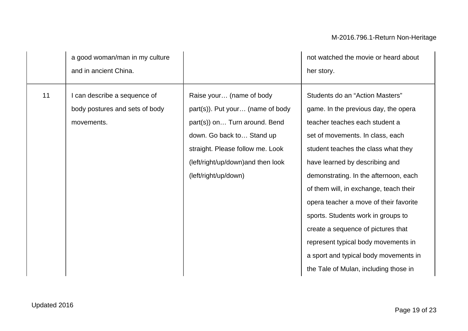|    | a good woman/man in my culture<br>and in ancient China.                    |                                                                                                                                                                                                                              | not watched the movie or heard about<br>her story.                                                                                                                                                                                                                                                                                                                                                                                                                                                                                                       |
|----|----------------------------------------------------------------------------|------------------------------------------------------------------------------------------------------------------------------------------------------------------------------------------------------------------------------|----------------------------------------------------------------------------------------------------------------------------------------------------------------------------------------------------------------------------------------------------------------------------------------------------------------------------------------------------------------------------------------------------------------------------------------------------------------------------------------------------------------------------------------------------------|
| 11 | can describe a sequence of<br>body postures and sets of body<br>movements. | Raise your (name of body<br>part(s)). Put your (name of body<br>part(s)) on Turn around. Bend<br>down. Go back to Stand up<br>straight. Please follow me. Look<br>(left/right/up/down) and then look<br>(left/right/up/down) | Students do an "Action Masters"<br>game. In the previous day, the opera<br>teacher teaches each student a<br>set of movements. In class, each<br>student teaches the class what they<br>have learned by describing and<br>demonstrating. In the afternoon, each<br>of them will, in exchange, teach their<br>opera teacher a move of their favorite<br>sports. Students work in groups to<br>create a sequence of pictures that<br>represent typical body movements in<br>a sport and typical body movements in<br>the Tale of Mulan, including those in |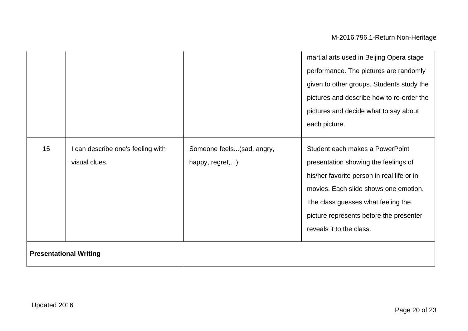|                               |                                                    |                                              | martial arts used in Beijing Opera stage                                                                                                                                                             |
|-------------------------------|----------------------------------------------------|----------------------------------------------|------------------------------------------------------------------------------------------------------------------------------------------------------------------------------------------------------|
|                               |                                                    |                                              | performance. The pictures are randomly                                                                                                                                                               |
|                               |                                                    |                                              | given to other groups. Students study the                                                                                                                                                            |
|                               |                                                    |                                              | pictures and describe how to re-order the                                                                                                                                                            |
|                               |                                                    |                                              | pictures and decide what to say about                                                                                                                                                                |
|                               |                                                    |                                              | each picture.                                                                                                                                                                                        |
| 15                            | I can describe one's feeling with<br>visual clues. | Someone feels(sad, angry,<br>happy, regret,) | Student each makes a PowerPoint<br>presentation showing the feelings of<br>his/her favorite person in real life or in<br>movies. Each slide shows one emotion.<br>The class guesses what feeling the |
|                               |                                                    |                                              | picture represents before the presenter<br>reveals it to the class.                                                                                                                                  |
| <b>Presentational Writing</b> |                                                    |                                              |                                                                                                                                                                                                      |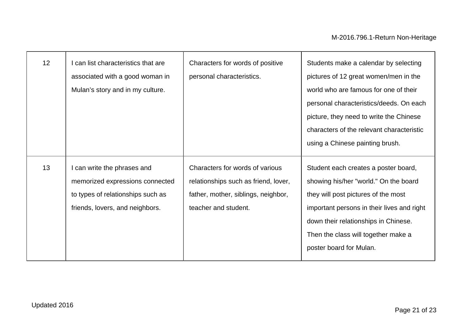| 12 | I can list characteristics that are<br>associated with a good woman in<br>Mulan's story and in my culture.                             | Characters for words of positive<br>personal characteristics.                                                                          | Students make a calendar by selecting<br>pictures of 12 great women/men in the<br>world who are famous for one of their<br>personal characteristics/deeds. On each<br>picture, they need to write the Chinese<br>characters of the relevant characteristic<br>using a Chinese painting brush. |
|----|----------------------------------------------------------------------------------------------------------------------------------------|----------------------------------------------------------------------------------------------------------------------------------------|-----------------------------------------------------------------------------------------------------------------------------------------------------------------------------------------------------------------------------------------------------------------------------------------------|
| 13 | I can write the phrases and<br>memorized expressions connected<br>to types of relationships such as<br>friends, lovers, and neighbors. | Characters for words of various<br>relationships such as friend, lover,<br>father, mother, siblings, neighbor,<br>teacher and student. | Student each creates a poster board,<br>showing his/her "world." On the board<br>they will post pictures of the most<br>important persons in their lives and right<br>down their relationships in Chinese.<br>Then the class will together make a<br>poster board for Mulan.                  |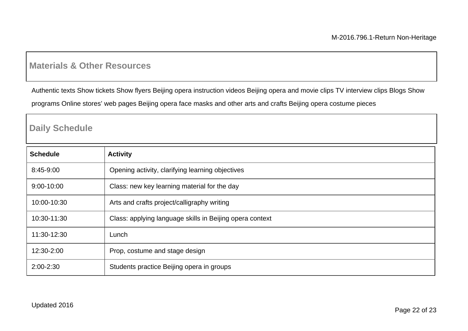### **Materials & Other Resources**

Authentic texts Show tickets Show flyers Beijing opera instruction videos Beijing opera and movie clips TV interview clips Blogs Show

programs Online stores' web pages Beijing opera face masks and other arts and crafts Beijing opera costume pieces

### **Daily Schedule**

| <b>Schedule</b> | <b>Activity</b>                                          |
|-----------------|----------------------------------------------------------|
| 8:45-9:00       | Opening activity, clarifying learning objectives         |
| 9:00-10:00      | Class: new key learning material for the day             |
| 10:00-10:30     | Arts and crafts project/calligraphy writing              |
| 10:30-11:30     | Class: applying language skills in Beijing opera context |
| 11:30-12:30     | Lunch                                                    |
| 12:30-2:00      | Prop, costume and stage design                           |
| 2:00-2:30       | Students practice Beijing opera in groups                |